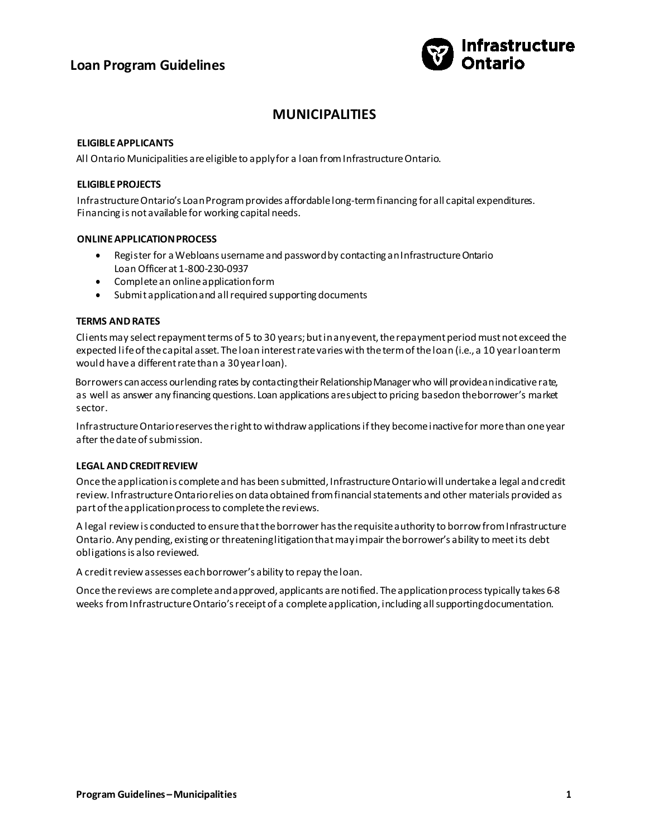# **Loan Program Guidelines**



# **MUNICIPALITIES**

### **ELIGIBLE APPLICANTS**

All Ontario Municipalities are eligible to apply for a loan from Infrastructure Ontario.

### **ELIGIBLE PROJECTS**

Infrastructure Ontario's Loan Program provides affordable long-term financing for all capital expenditures. Financing is not available for working capital needs.

### **ONLINE APPLICATION PROCESS**

- Register for a Webloans username and password by contacting an Infrastructure Ontario Loan Officer at 1-800-230-0937
- Complete an online applicationform
- Submit application and all required supporting documents

### **TERMS AND RATES**

Clients may select repayment terms of 5 to 30 years; but in any event, the repayment period must not exceed the expected life of the capital asset. The loan interest rate varies with the term of the loan (i.e., a 10 year loan term would have a different rate than a 30 year loan).

Borrowers can access ourlending rates by contacting their Relationship Manager who will providean indicative rate, as well as answer any financing questions. Loan applications aresubject to pricing basedon theborrower's market sector.

Infrastructure Ontario reserves the right to withdraw applications if they become inactive for more than one year after the date of submission.

#### **LEGAL AND CREDIT REVIEW**

Once the application is complete and has been submitted, Infrastructure Ontario will undertake a legal and credit review. Infrastructure Ontario relies on data obtained from financial statements and other materials provided as part of the application process to complete the reviews.

A legal review is conducted to ensure that the borrower has the requisite authority to borrow from Infrastructure Ontario. Any pending, existing or threatening litigation that may impair the borrower's ability to meet its debt obligations is also reviewed.

A credit review assesses each borrower's ability to repay the loan.

Once the reviews are complete and approved, applicants are notified. The application process typically takes 6-8 weeks from Infrastructure Ontario's receipt of a complete application, including all supporting documentation.